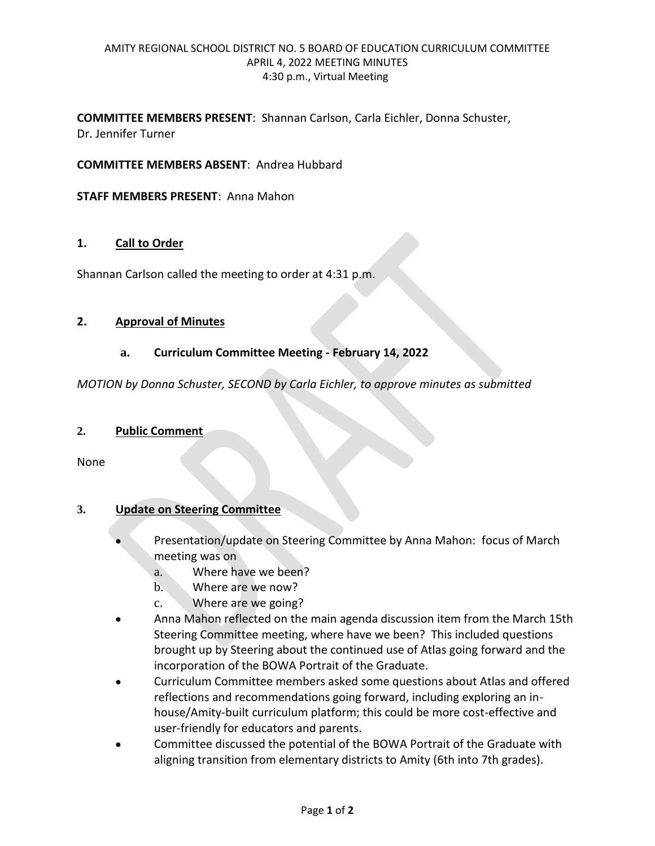## AMITY REGIONAL SCHOOL DISTRICT NO. 5 BOARD OF EDUCATION CURRICULUM COMMITTEE APRIL 4, 2022 MEETING MINUTES 4:30 p.m., Virtual Meeting

**COMMITTEE MEMBERS PRESENT**: Shannan Carlson, Carla Eichler, Donna Schuster, Dr. Jennifer Turner

**COMMITTEE MEMBERS ABSENT**: Andrea Hubbard

### **STAFF MEMBERS PRESENT**: Anna Mahon

## **1. Call to Order**

Shannan Carlson called the meeting to order at 4:31 p.m.

#### **2. Approval of Minutes**

#### **a. Curriculum Committee Meeting - February 14, 2022**

*MOTION by Donna Schuster, SECOND by Carla Eichler, to approve minutes as submitted*

#### **2. Public Comment**

None

## **3. Update on Steering Committee**

- Presentation/update on Steering Committee by Anna Mahon: focus of March meeting was on
	- a. Where have we been?
	- b. Where are we now?
	- c. Where are we going?
- Anna Mahon reflected on the main agenda discussion item from the March 15th Steering Committee meeting, where have we been? This included questions brought up by Steering about the continued use of Atlas going forward and the incorporation of the BOWA Portrait of the Graduate.
- Curriculum Committee members asked some questions about Atlas and offered reflections and recommendations going forward, including exploring an inhouse/Amity-built curriculum platform; this could be more cost-effective and user-friendly for educators and parents.
- Committee discussed the potential of the BOWA Portrait of the Graduate with aligning transition from elementary districts to Amity (6th into 7th grades).